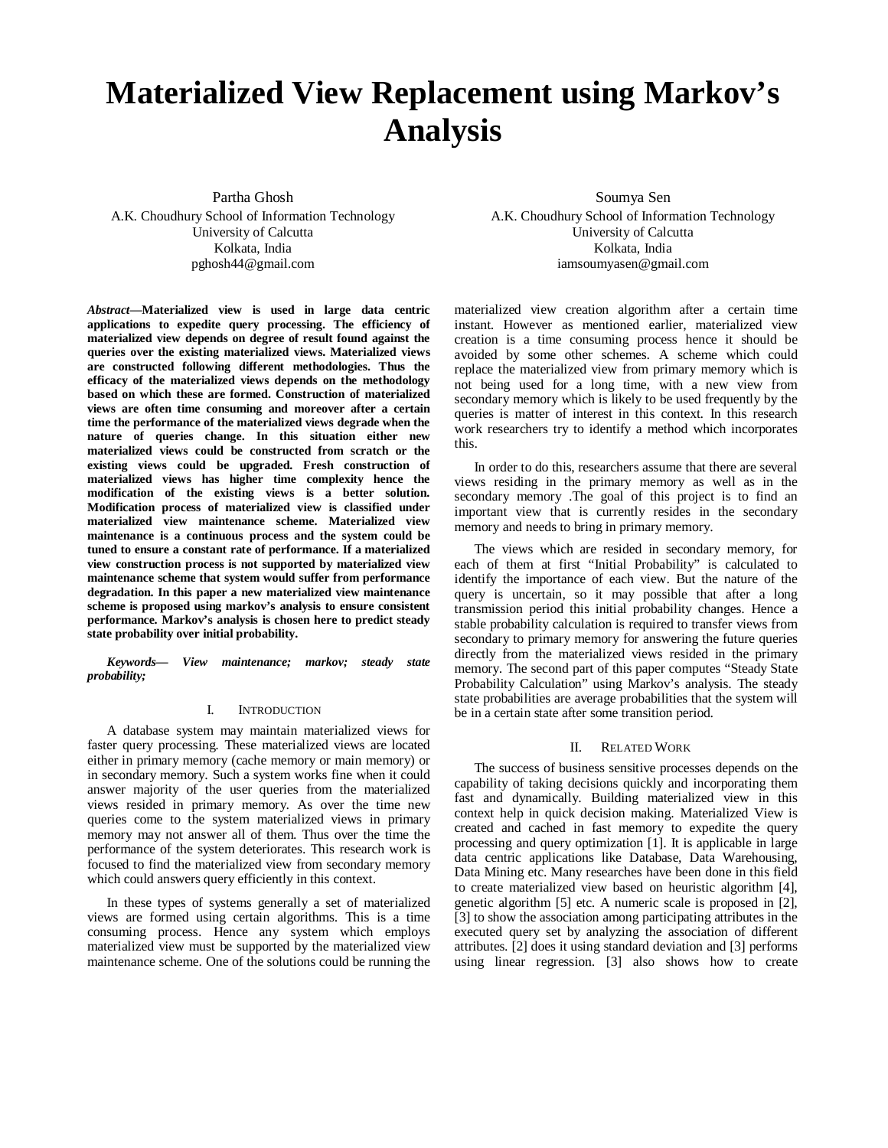# **Materialized View Replacement using Markov's Analysis**

Partha Ghosh A.K. Choudhury School of Information Technology University of Calcutta Kolkata, India pghosh44@gmail.com

*Abstract***—Materialized view is used in large data centric applications to expedite query processing. The efficiency of materialized view depends on degree of result found against the queries over the existing materialized views. Materialized views are constructed following different methodologies. Thus the efficacy of the materialized views depends on the methodology based on which these are formed. Construction of materialized views are often time consuming and moreover after a certain time the performance of the materialized views degrade when the nature of queries change. In this situation either new materialized views could be constructed from scratch or the existing views could be upgraded. Fresh construction of materialized views has higher time complexity hence the modification of the existing views is a better solution. Modification process of materialized view is classified under materialized view maintenance scheme. Materialized view maintenance is a continuous process and the system could be tuned to ensure a constant rate of performance. If a materialized view construction process is not supported by materialized view maintenance scheme that system would suffer from performance degradation. In this paper a new materialized view maintenance scheme is proposed using markov's analysis to ensure consistent performance. Markov's analysis is chosen here to predict steady state probability over initial probability.**

*Keywords— View maintenance; markov; steady state probability;*

# I. INTRODUCTION

A database system may maintain materialized views for faster query processing. These materialized views are located either in primary memory (cache memory or main memory) or in secondary memory. Such a system works fine when it could answer majority of the user queries from the materialized views resided in primary memory. As over the time new queries come to the system materialized views in primary memory may not answer all of them. Thus over the time the performance of the system deteriorates. This research work is focused to find the materialized view from secondary memory which could answers query efficiently in this context.

In these types of systems generally a set of materialized views are formed using certain algorithms. This is a time consuming process. Hence any system which employs materialized view must be supported by the materialized view maintenance scheme. One of the solutions could be running the

Soumya Sen A.K. Choudhury School of Information Technology University of Calcutta Kolkata, India iamsoumyasen@gmail.com

materialized view creation algorithm after a certain time instant. However as mentioned earlier, materialized view creation is a time consuming process hence it should be avoided by some other schemes. A scheme which could replace the materialized view from primary memory which is not being used for a long time, with a new view from secondary memory which is likely to be used frequently by the queries is matter of interest in this context. In this research work researchers try to identify a method which incorporates this.

In order to do this, researchers assume that there are several views residing in the primary memory as well as in the secondary memory .The goal of this project is to find an important view that is currently resides in the secondary memory and needs to bring in primary memory.

The views which are resided in secondary memory, for each of them at first "Initial Probability" is calculated to identify the importance of each view. But the nature of the query is uncertain, so it may possible that after a long transmission period this initial probability changes. Hence a stable probability calculation is required to transfer views from secondary to primary memory for answering the future queries directly from the materialized views resided in the primary memory. The second part of this paper computes "Steady State Probability Calculation" using Markov's analysis. The steady state probabilities are average probabilities that the system will be in a certain state after some transition period.

#### II. RELATED WORK

The success of business sensitive processes depends on the capability of taking decisions quickly and incorporating them fast and dynamically. Building materialized view in this context help in quick decision making. Materialized View is created and cached in fast memory to expedite the query processing and query optimization [1]. It is applicable in large data centric applications like Database, Data Warehousing, Data Mining etc. Many researches have been done in this field to create materialized view based on heuristic algorithm [4], genetic algorithm [5] etc. A numeric scale is proposed in [2], [3] to show the association among participating attributes in the executed query set by analyzing the association of different attributes. [2] does it using standard deviation and [3] performs using linear regression. [3] also shows how to create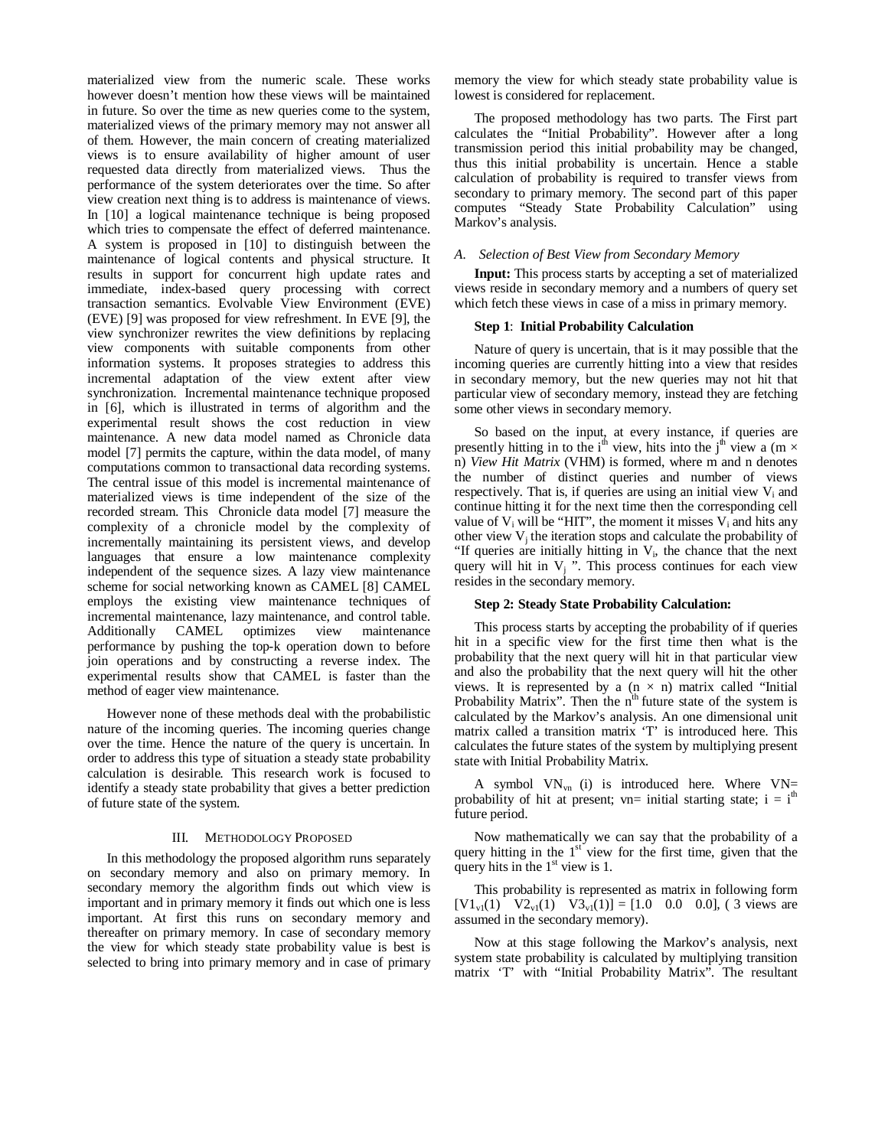materialized view from the numeric scale. These works however doesn't mention how these views will be maintained in future. So over the time as new queries come to the system, materialized views of the primary memory may not answer all of them. However, the main concern of creating materialized views is to ensure availability of higher amount of user requested data directly from materialized views. Thus the performance of the system deteriorates over the time. So after view creation next thing is to address is maintenance of views. In [10] a logical maintenance technique is being proposed which tries to compensate the effect of deferred maintenance. A system is proposed in [10] to distinguish between the maintenance of logical contents and physical structure. It results in support for concurrent high update rates and immediate, index-based query processing with correct transaction semantics. Evolvable View Environment (EVE) (EVE) [9] was proposed for view refreshment. In EVE [9], the view synchronizer rewrites the view definitions by replacing view components with suitable components from other information systems. It proposes strategies to address this incremental adaptation of the view extent after view synchronization. Incremental maintenance technique proposed in [6], which is illustrated in terms of algorithm and the experimental result shows the cost reduction in view maintenance. A new data model named as Chronicle data model [7] permits the capture, within the data model, of many computations common to transactional data recording systems. The central issue of this model is incremental maintenance of materialized views is time independent of the size of the recorded stream. This Chronicle data model [7] measure the complexity of a chronicle model by the complexity of incrementally maintaining its persistent views, and develop languages that ensure a low maintenance complexity independent of the sequence sizes. A lazy view maintenance scheme for social networking known as CAMEL [8] CAMEL employs the existing view maintenance techniques of incremental maintenance, lazy maintenance, and control table.<br>Additionally CAMEL optimizes view maintenance Additionally CAMEL optimizes view maintenance performance by pushing the top-k operation down to before join operations and by constructing a reverse index. The experimental results show that CAMEL is faster than the method of eager view maintenance.

However none of these methods deal with the probabilistic nature of the incoming queries. The incoming queries change over the time. Hence the nature of the query is uncertain. In order to address this type of situation a steady state probability calculation is desirable. This research work is focused to identify a steady state probability that gives a better prediction of future state of the system.

# III. METHODOLOGY PROPOSED

In this methodology the proposed algorithm runs separately on secondary memory and also on primary memory. In secondary memory the algorithm finds out which view is important and in primary memory it finds out which one is less important. At first this runs on secondary memory and thereafter on primary memory. In case of secondary memory the view for which steady state probability value is best is selected to bring into primary memory and in case of primary memory the view for which steady state probability value is lowest is considered for replacement.

The proposed methodology has two parts. The First part calculates the "Initial Probability". However after a long transmission period this initial probability may be changed, thus this initial probability is uncertain. Hence a stable calculation of probability is required to transfer views from secondary to primary memory. The second part of this paper computes "Steady State Probability Calculation" using Markov's analysis.

#### *A. Selection of Best View from Secondary Memory*

**Input:** This process starts by accepting a set of materialized views reside in secondary memory and a numbers of query set which fetch these views in case of a miss in primary memory.

# **Step 1**: **Initial Probability Calculation**

Nature of query is uncertain, that is it may possible that the incoming queries are currently hitting into a view that resides in secondary memory, but the new queries may not hit that particular view of secondary memory, instead they are fetching some other views in secondary memory.

So based on the input, at every instance, if queries are presently hitting in to the i<sup>th</sup> view, hits into the j<sup>th</sup> view a (m  $\times$ n) *View Hit Matrix* (VHM) is formed, where m and n denotes the number of distinct queries and number of views respectively. That is, if queries are using an initial view  $V_i$  and continue hitting it for the next time then the corresponding cell value of  $V_i$  will be "HIT", the moment it misses  $V_i$  and hits any other view  $V_j$  the iteration stops and calculate the probability of "If queries are initially hitting in  $V_i$ , the chance that the next query will hit in  $V_j$ ". This process continues for each view resides in the secondary memory.

# **Step 2: Steady State Probability Calculation:**

This process starts by accepting the probability of if queries hit in a specific view for the first time then what is the probability that the next query will hit in that particular view and also the probability that the next query will hit the other views. It is represented by a  $(n \times n)$  matrix called "Initial" Probability Matrix". Then the n<sup>th</sup> future state of the system is calculated by the Markov's analysis. An one dimensional unit matrix called a transition matrix 'T' is introduced here. This calculates the future states of the system by multiplying present state with Initial Probability Matrix.

A symbol  $VN_{vn}$  (i) is introduced here. Where  $VN=$ probability of hit at present; vn= initial starting state;  $i = i<sup>th</sup>$ future period.

Now mathematically we can say that the probability of a query hitting in the  $1<sup>st</sup>$  view for the first time, given that the query hits in the  $1<sup>st</sup>$  view is 1.

This probability is represented as matrix in following form  $[V1_{\nu1}(1) \quad V2_{\nu1}(1) \quad V3_{\nu1}(1)] = [1.0 \quad 0.0 \quad 0.0],$  (3 views are assumed in the secondary memory).

Now at this stage following the Markov's analysis, next system state probability is calculated by multiplying transition matrix 'T' with "Initial Probability Matrix". The resultant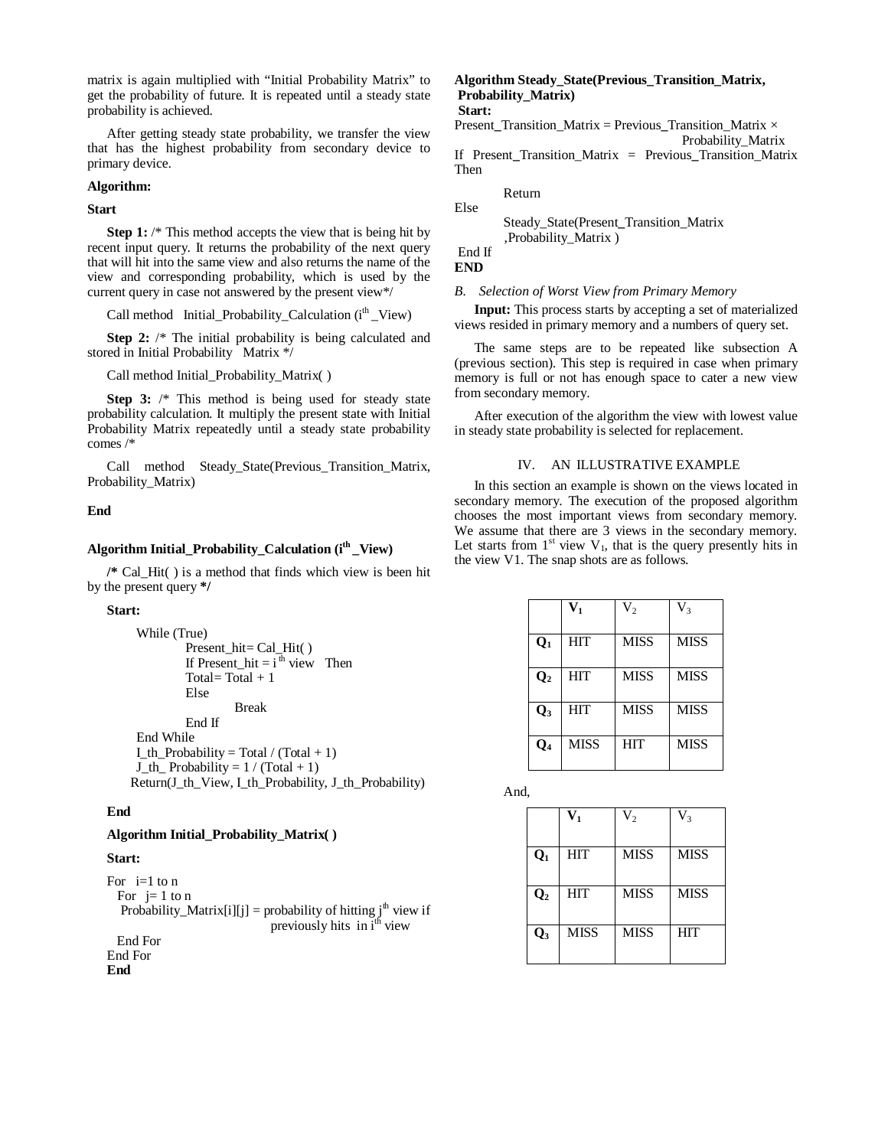matrix is again multiplied with "Initial Probability Matrix" to get the probability of future. It is repeated until a steady state probability is achieved.

After getting steady state probability, we transfer the view that has the highest probability from secondary device to primary device.

#### **Algorithm:**

**Start**

**Step 1:** /\* This method accepts the view that is being hit by recent input query. It returns the probability of the next query that will hit into the same view and also returns the name of the view and corresponding probability, which is used by the current query in case not answered by the present view\*/

Call method Initial\_Probability\_Calculation  $(i<sup>th</sup>$ \_View)

**Step 2:** /\* The initial probability is being calculated and stored in Initial Probability Matrix \*/

Call method Initial\_Probability\_Matrix( )

**Step 3:** /\* This method is being used for steady state probability calculation. It multiply the present state with Initial Probability Matrix repeatedly until a steady state probability comes /\*

Call method Steady\_State(Previous\_Transition\_Matrix, Probability\_Matrix)

### **End**

# **Algorithm Initial\_Probability\_Calculation (ith \_View)**

**/\*** Cal\_Hit( ) is a method that finds which view is been hit by the present query **\*/**

#### **Start:**

```
While (True)
         Present hit = Cal Hit( )
         If Present hit = i^{\text{th}} view Then
         Total = Total +1Else
                   Break
         End If
End While
I_th_Probability = Total / (Total + 1)
J_th_Probability = 1 / (Total + 1)
```
Return(J\_th\_View, I\_th\_Probability, J\_th\_Probability)

# **End**

# **Algorithm Initial\_Probability\_Matrix( )**

#### **Start:**

```
For i=1 to n
 For i=1 to n
  Probability_Matrix[i][j] = probability of hitting j^h view if
                                previously hits in i<sup>th</sup> view
  End For
End For
End
```
# **Algorithm Steady\_State(Previous\_Transition\_Matrix, Probability\_Matrix) Start:**

Present**\_**Transition\_Matrix = Previous**\_**Transition\_Matrix × Probability\_Matrix

If Present**\_**Transition\_Matrix = Previous**\_**Transition\_Matrix Then

Return Else

> Steady\_State(Present**\_**Transition\_Matrix ,Probability\_Matrix )

End If **END**

#### *B. Selection of Worst View from Primary Memory*

**Input:** This process starts by accepting a set of materialized views resided in primary memory and a numbers of query set.

The same steps are to be repeated like subsection A (previous section). This step is required in case when primary memory is full or not has enough space to cater a new view from secondary memory.

After execution of the algorithm the view with lowest value in steady state probability is selected for replacement.

# IV. AN ILLUSTRATIVE EXAMPLE

In this section an example is shown on the views located in secondary memory. The execution of the proposed algorithm chooses the most important views from secondary memory. We assume that there are 3 views in the secondary memory. Let starts from  $1<sup>st</sup>$  view  $V_1$ , that is the query presently hits in the view V1. The snap shots are as follows.

|                | $\mathbf{V}_\mathbf{1}$ | V <sub>2</sub> | $\rm V_{3}$ |
|----------------|-------------------------|----------------|-------------|
| $Q_1$          | <b>HIT</b>              | <b>MISS</b>    | <b>MISS</b> |
| $\mathbf{Q}_2$ | <b>HIT</b>              | <b>MISS</b>    | <b>MISS</b> |
| $\mathbf{Q}_3$ | <b>HIT</b>              | <b>MISS</b>    | <b>MISS</b> |
| Q4             | <b>MISS</b>             | <b>HIT</b>     | <b>MISS</b> |

And,

|                | V,          | $\mathrm{V}_2$ | $\rm V_{3}$ |
|----------------|-------------|----------------|-------------|
| $\mathbf{Q}_1$ | <b>HIT</b>  | <b>MISS</b>    | <b>MISS</b> |
| $\mathbf{Q}_2$ | <b>HIT</b>  | <b>MISS</b>    | <b>MISS</b> |
| $\mathbf{Q}_3$ | <b>MISS</b> | <b>MISS</b>    | <b>HIT</b>  |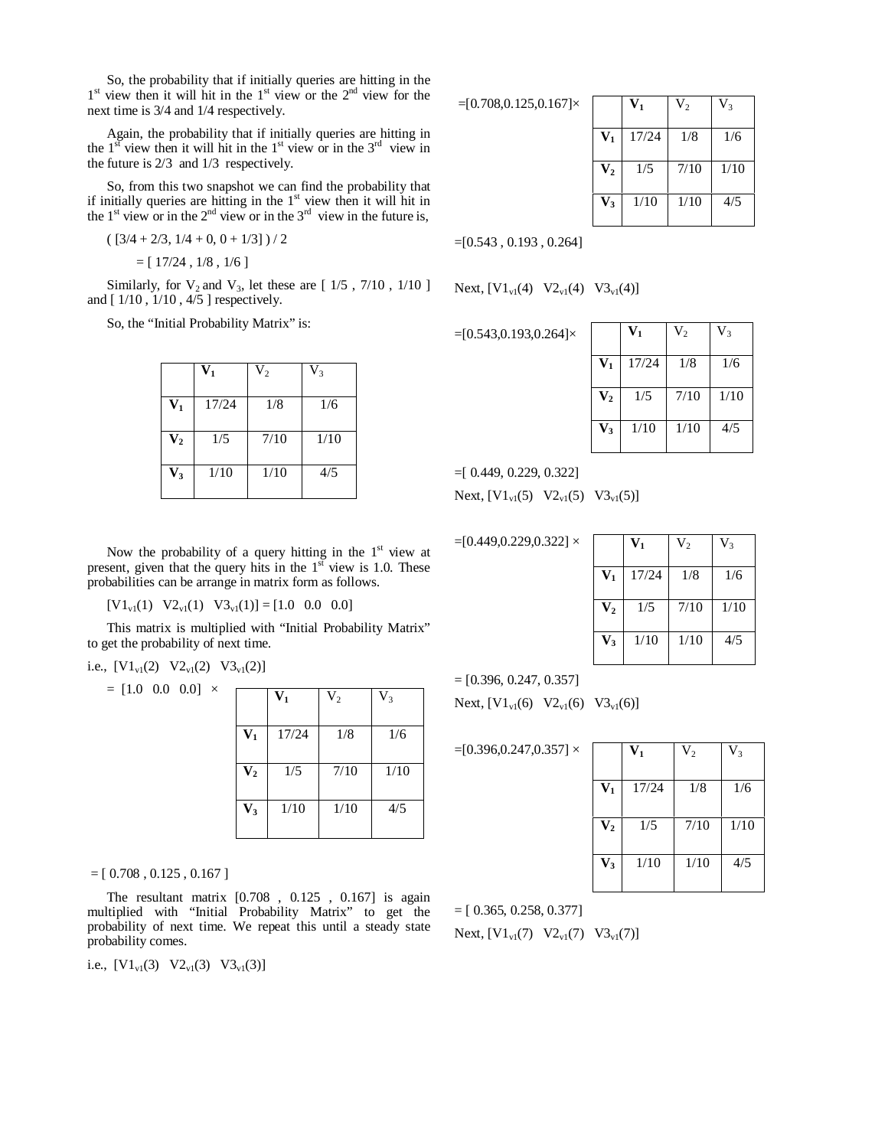So, the probability that if initially queries are hitting in the 1<sup>st</sup> view then it will hit in the 1<sup>st</sup> view or the 2<sup>nd</sup> view for the next time is 3/4 and 1/4 respectively.

Again, the probability that if initially queries are hitting in the  $1<sup>st</sup>$  view then it will hit in the  $1<sup>st</sup>$  view or in the  $3<sup>rd</sup>$  view in the future is 2/3 and 1/3 respectively.

So, from this two snapshot we can find the probability that if initially queries are hitting in the  $1<sup>st</sup>$  view then it will hit in the 1<sup>st</sup> view or in the 2<sup>nd</sup> view or in the 3<sup>rd</sup> view in the future is,

$$
([3/4+2/3, 1/4+0, 0+1/3])/2
$$

 $=[17/24, 1/8, 1/6]$ 

Similarly, for  $V_2$  and  $V_3$ , let these are  $[1/5, 7/10, 1/10]$ and [ 1/10 , 1/10 , 4/5 ] respectively.

So, the "Initial Probability Matrix" is:

|                           | $\mathbf{V}_\mathbf{1}$ | $\rm V_2$ | $V_3$ |
|---------------------------|-------------------------|-----------|-------|
| $\mathbf{V_{1}}$          | 17/24                   | 1/8       | 1/6   |
| $\mathbf{V}_{\mathbf{2}}$ | 1/5                     | 7/10      | 1/10  |
| $\mathbf{V}_3$            | 1/10                    | 1/10      | 4/5   |

Now the probability of a query hitting in the  $1<sup>st</sup>$  view at present, given that the query hits in the  $1<sup>st</sup>$  view is 1.0. These probabilities can be arrange in matrix form as follows.

 $[V1_{\rm v1}(1) \quad V2_{\rm v1}(1) \quad V3_{\rm v1}(1)] = [1.0 \quad 0.0 \quad 0.0]$ 

This matrix is multiplied with "Initial Probability Matrix" to get the probability of next time.

i.e., 
$$
[V1_{v1}(2) V2_{v1}(2) V3_{v1}(2)]
$$

 $= [1.0 \ 0.0 \ 0.0] \times$ 

|                | $\mathbf{V}_1$ | $V_2$ | $V_3$ |
|----------------|----------------|-------|-------|
| $V_1$          | 17/24          | 1/8   | 1/6   |
| $\mathbf{V}_2$ | 1/5            | 7/10  | 1/10  |
| $V_3$          | 1/10           | 1/10  | 4/5   |

 $=[ 0.708, 0.125, 0.167 ]$ 

The resultant matrix [0.708 , 0.125 , 0.167] is again multiplied with "Initial Probability Matrix" to get the probability of next time. We repeat this until a steady state probability comes.

i.e.,  $[V1_{v1}(3) \quad V2_{v1}(3) \quad V3_{v1}(3)]$ 

 $=[0.708, 0.125, 0.167] \times$ 

|                         | V1    | V <sub>2</sub> | $\rm V_{3}$ |
|-------------------------|-------|----------------|-------------|
| $\mathbf{V}_\mathbf{1}$ | 17/24 | 1/8            | 1/6         |
| $\mathbf{V}_2$          | 1/5   | 7/10           | 1/10        |
| $\mathbf{V}_3$          | 1/10  | 1/10           | 4/5         |

 $=[0.543, 0.193, 0.264]$ 

Next,  $[V1_{v1}(4) \quad V2_{v1}(4) \quad V3_{v1}(4)]$ 

=[0.543,0.193,0.264]×

|                  | $\mathbf{V}_1$ | $\mathrm{V}_2$ | $\rm V_3$ |
|------------------|----------------|----------------|-----------|
| $\mathbf{V}_1$   | 17/24          | 1/8            | 1/6       |
| $\mathbf{V_{2}}$ | 1/5            | 7/10           | 1/10      |
| $\mathbf{V}_3$   | 1/10           | 1/10           | 4/5       |

=[ 0.449, 0.229, 0.322]

Next,  $[V1_{v1}(5) \quad V2_{v1}(5) \quad V3_{v1}(5)]$ 

 $=[0.449, 0.229, 0.322]$  ×

|                           | $\mathbf{V}_1$ | $V_{2}$ | $\rm V_{3}$ |
|---------------------------|----------------|---------|-------------|
| $\mathbf{V}_1$            | 17/24          | 1/8     | 1/6         |
| $\mathbf{V}_{\mathbf{2}}$ | 1/5            | 7/10    | 1/10        |
| $\mathbf{V}_3$            | 1/10           | 1/10    | 4/5         |

 $=[0.396, 0.247, 0.357]$ 

Next,  $[V1_{v1}(6) \ V2_{v1}(6) \ V3_{v1}(6)]$ 

 $=[0.396, 0.247, 0.357] \times$ 

|                | $V_1$ | V <sub>2</sub> | $V_3$ |
|----------------|-------|----------------|-------|
| $V_1$          | 17/24 | 1/8            | 1/6   |
| V <sub>2</sub> | 1/5   | 7/10           | 1/10  |
| $V_3$          | 1/10  | 1/10           | 4/5   |

 $=[\,0.365, 0.258, 0.377]$ Next,  $[V1_{v1}(7) V2_{v1}(7) V3_{v1}(7)]$